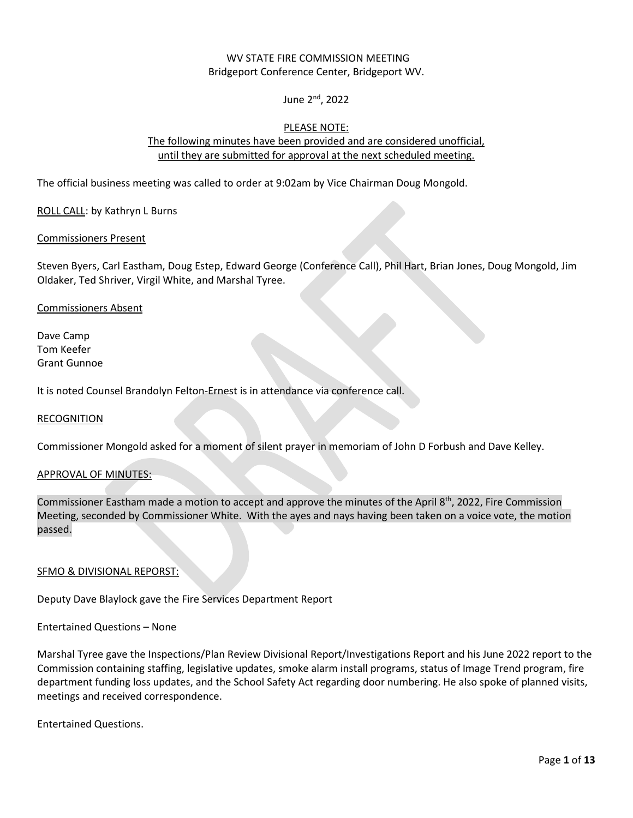## WV STATE FIRE COMMISSION MEETING Bridgeport Conference Center, Bridgeport WV.

# June 2nd, 2022

## PLEASE NOTE:

## The following minutes have been provided and are considered unofficial, until they are submitted for approval at the next scheduled meeting.

The official business meeting was called to order at 9:02am by Vice Chairman Doug Mongold.

ROLL CALL: by Kathryn L Burns

#### Commissioners Present

Steven Byers, Carl Eastham, Doug Estep, Edward George (Conference Call), Phil Hart, Brian Jones, Doug Mongold, Jim Oldaker, Ted Shriver, Virgil White, and Marshal Tyree.

#### Commissioners Absent

Dave Camp Tom Keefer Grant Gunnoe

It is noted Counsel Brandolyn Felton-Ernest is in attendance via conference call.

#### **RECOGNITION**

Commissioner Mongold asked for a moment of silent prayer in memoriam of John D Forbush and Dave Kelley.

#### APPROVAL OF MINUTES:

Commissioner Eastham made a motion to accept and approve the minutes of the April 8th, 2022, Fire Commission Meeting, seconded by Commissioner White. With the ayes and nays having been taken on a voice vote, the motion passed.

#### SFMO & DIVISIONAL REPORST:

Deputy Dave Blaylock gave the Fire Services Department Report

Entertained Questions – None

Marshal Tyree gave the Inspections/Plan Review Divisional Report/Investigations Report and his June 2022 report to the Commission containing staffing, legislative updates, smoke alarm install programs, status of Image Trend program, fire department funding loss updates, and the School Safety Act regarding door numbering. He also spoke of planned visits, meetings and received correspondence.

Entertained Questions.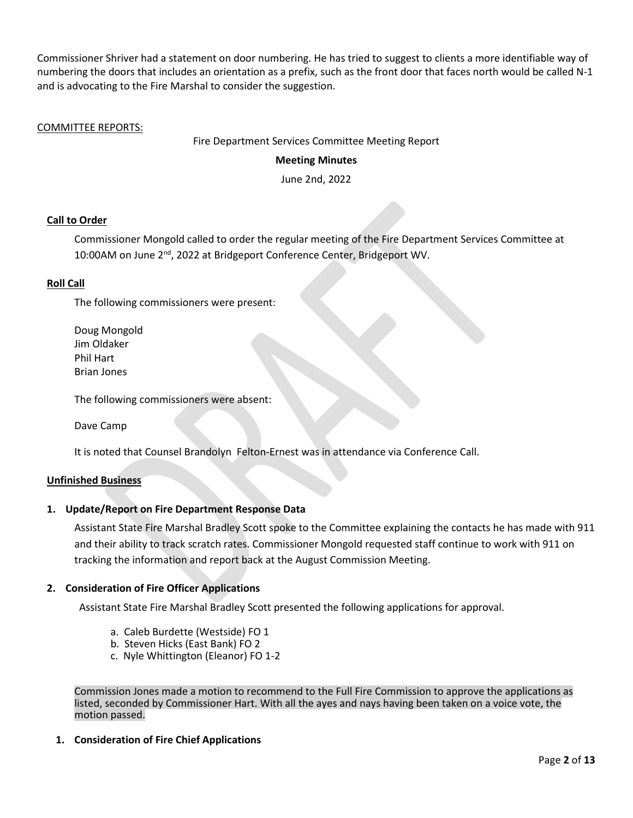Commissioner Shriver had a statement on door numbering. He has tried to suggest to clients a more identifiable way of numbering the doors that includes an orientation as a prefix, such as the front door that faces north would be called N-1 and is advocating to the Fire Marshal to consider the suggestion.

## COMMITTEE REPORTS:

Fire Department Services Committee Meeting Report

## **Meeting Minutes**

June 2nd, 2022

## **Call to Order**

Commissioner Mongold called to order the regular meeting of the Fire Department Services Committee at 10:00AM on June 2<sup>nd</sup>, 2022 at Bridgeport Conference Center, Bridgeport WV.

### **Roll Call**

The following commissioners were present:

 Doug Mongold Jim Oldaker Phil Hart Brian Jones

The following commissioners were absent:

Dave Camp

It is noted that Counsel Brandolyn Felton-Ernest was in attendance via Conference Call.

#### **Unfinished Business**

#### **1. Update/Report on Fire Department Response Data**

Assistant State Fire Marshal Bradley Scott spoke to the Committee explaining the contacts he has made with 911 and their ability to track scratch rates. Commissioner Mongold requested staff continue to work with 911 on tracking the information and report back at the August Commission Meeting.

## **2. Consideration of Fire Officer Applications**

Assistant State Fire Marshal Bradley Scott presented the following applications for approval.

- a. Caleb Burdette (Westside) FO 1
- b. Steven Hicks (East Bank) FO 2
- c. Nyle Whittington (Eleanor) FO 1-2

Commission Jones made a motion to recommend to the Full Fire Commission to approve the applications as listed, seconded by Commissioner Hart. With all the ayes and nays having been taken on a voice vote, the motion passed.

## **1. Consideration of Fire Chief Applications**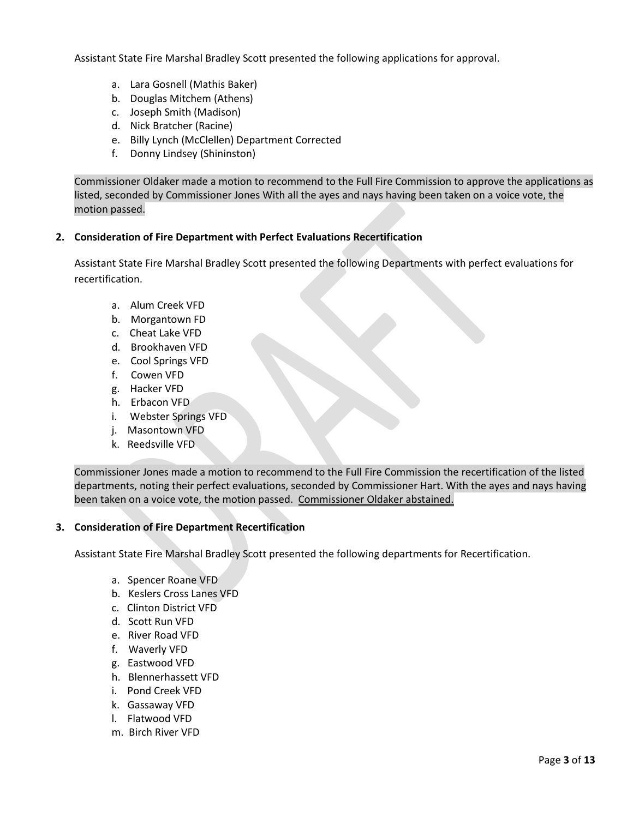Assistant State Fire Marshal Bradley Scott presented the following applications for approval.

- a. Lara Gosnell (Mathis Baker)
- b. Douglas Mitchem (Athens)
- c. Joseph Smith (Madison)
- d. Nick Bratcher (Racine)
- e. Billy Lynch (McClellen) Department Corrected
- f. Donny Lindsey (Shininston)

Commissioner Oldaker made a motion to recommend to the Full Fire Commission to approve the applications as listed, seconded by Commissioner Jones With all the ayes and nays having been taken on a voice vote, the motion passed.

### **2. Consideration of Fire Department with Perfect Evaluations Recertification**

Assistant State Fire Marshal Bradley Scott presented the following Departments with perfect evaluations for recertification.

- a. Alum Creek VFD
- b. Morgantown FD
- c. Cheat Lake VFD
- d. Brookhaven VFD
- e. Cool Springs VFD
- f. Cowen VFD
- g. Hacker VFD
- h. Erbacon VFD
- i. Webster Springs VFD
- j. Masontown VFD
- k. Reedsville VFD

Commissioner Jones made a motion to recommend to the Full Fire Commission the recertification of the listed departments, noting their perfect evaluations, seconded by Commissioner Hart. With the ayes and nays having been taken on a voice vote, the motion passed. Commissioner Oldaker abstained.

## **3. Consideration of Fire Department Recertification**

Assistant State Fire Marshal Bradley Scott presented the following departments for Recertification.

- a. Spencer Roane VFD
- b. Keslers Cross Lanes VFD
- c. Clinton District VFD
- d. Scott Run VFD
- e. River Road VFD
- f. Waverly VFD
- g. Eastwood VFD
- h. Blennerhassett VFD
- i. Pond Creek VFD
- k. Gassaway VFD
- l. Flatwood VFD
- m. Birch River VFD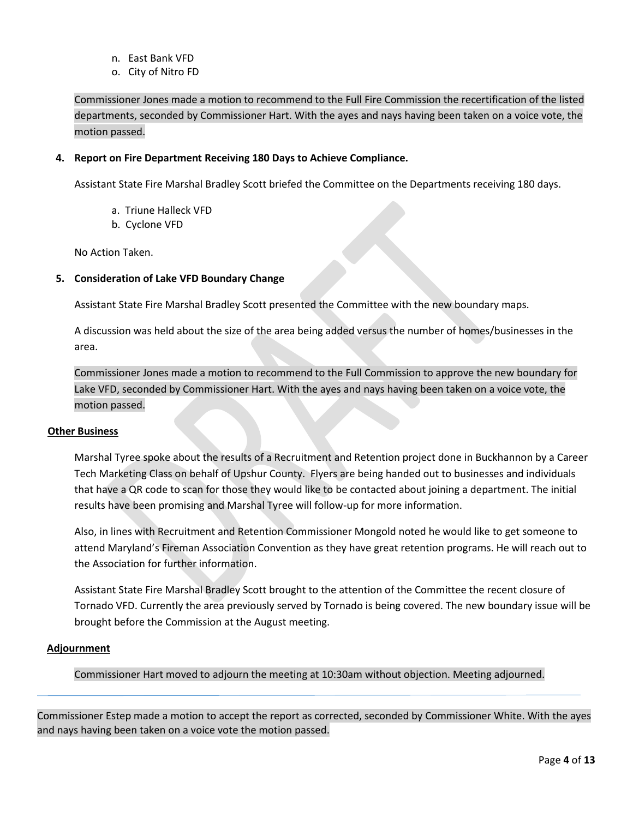- n. East Bank VFD
- o. City of Nitro FD

Commissioner Jones made a motion to recommend to the Full Fire Commission the recertification of the listed departments, seconded by Commissioner Hart. With the ayes and nays having been taken on a voice vote, the motion passed.

## **4. Report on Fire Department Receiving 180 Days to Achieve Compliance.**

Assistant State Fire Marshal Bradley Scott briefed the Committee on the Departments receiving 180 days.

- a. Triune Halleck VFD
- b. Cyclone VFD

No Action Taken.

### **5. Consideration of Lake VFD Boundary Change**

Assistant State Fire Marshal Bradley Scott presented the Committee with the new boundary maps.

A discussion was held about the size of the area being added versus the number of homes/businesses in the area.

Commissioner Jones made a motion to recommend to the Full Commission to approve the new boundary for Lake VFD, seconded by Commissioner Hart. With the ayes and nays having been taken on a voice vote, the motion passed.

### **Other Business**

Marshal Tyree spoke about the results of a Recruitment and Retention project done in Buckhannon by a Career Tech Marketing Class on behalf of Upshur County. Flyers are being handed out to businesses and individuals that have a QR code to scan for those they would like to be contacted about joining a department. The initial results have been promising and Marshal Tyree will follow-up for more information.

Also, in lines with Recruitment and Retention Commissioner Mongold noted he would like to get someone to attend Maryland's Fireman Association Convention as they have great retention programs. He will reach out to the Association for further information.

Assistant State Fire Marshal Bradley Scott brought to the attention of the Committee the recent closure of Tornado VFD. Currently the area previously served by Tornado is being covered. The new boundary issue will be brought before the Commission at the August meeting.

## **Adjournment**

Commissioner Hart moved to adjourn the meeting at 10:30am without objection. Meeting adjourned.

Commissioner Estep made a motion to accept the report as corrected, seconded by Commissioner White. With the ayes and nays having been taken on a voice vote the motion passed.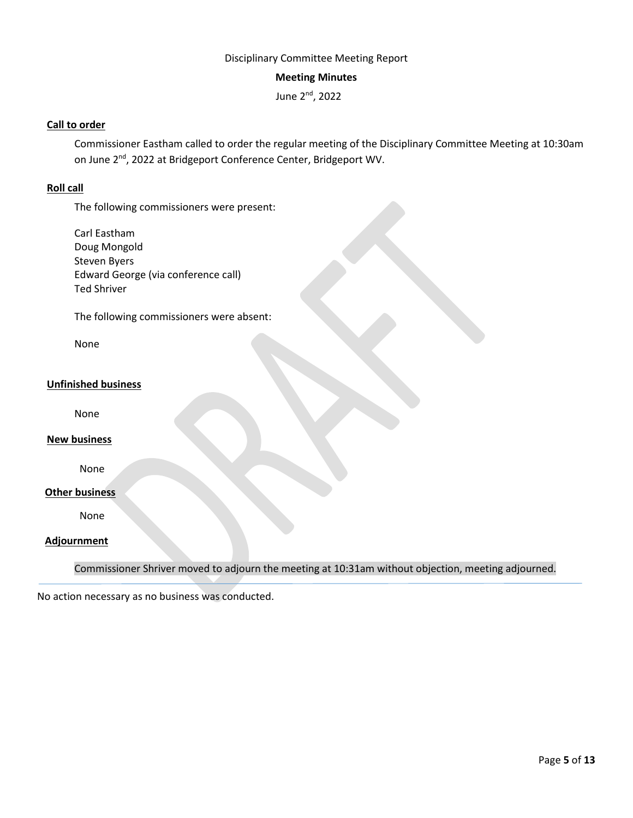# Disciplinary Committee Meeting Report

### **Meeting Minutes**

June 2nd, 2022

## **Call to order**

Commissioner Eastham called to order the regular meeting of the Disciplinary Committee Meeting at 10:30am on June 2nd, 2022 at Bridgeport Conference Center, Bridgeport WV.

## **Roll call**

The following commissioners were present:

Carl Eastham Doug Mongold Steven Byers Edward George (via conference call) Ted Shriver

The following commissioners were absent:

None

## **Unfinished business**

None

#### **New business**

None

## **Other business**

None

### **Adjournment**

Commissioner Shriver moved to adjourn the meeting at 10:31am without objection, meeting adjourned.

No action necessary as no business was conducted.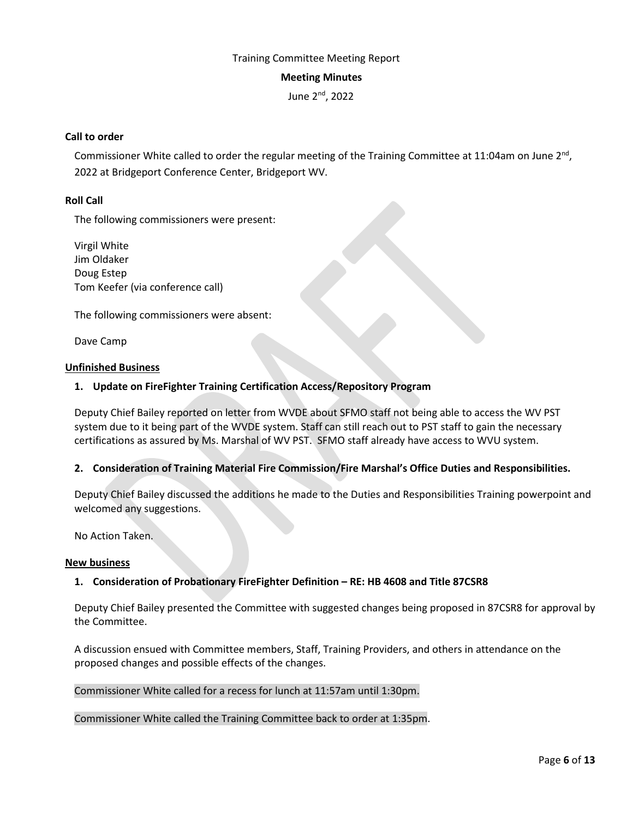# Training Committee Meeting Report

#### **Meeting Minutes**

June 2nd, 2022

### **Call to order**

Commissioner White called to order the regular meeting of the Training Committee at 11:04am on June  $2^{nd}$ , 2022 at Bridgeport Conference Center, Bridgeport WV.

## **Roll Call**

The following commissioners were present:

Virgil White Jim Oldaker Doug Estep Tom Keefer (via conference call)

The following commissioners were absent:

Dave Camp

#### **Unfinished Business**

### **1. Update on FireFighter Training Certification Access/Repository Program**

Deputy Chief Bailey reported on letter from WVDE about SFMO staff not being able to access the WV PST system due to it being part of the WVDE system. Staff can still reach out to PST staff to gain the necessary certifications as assured by Ms. Marshal of WV PST. SFMO staff already have access to WVU system.

## **2. Consideration of Training Material Fire Commission/Fire Marshal's Office Duties and Responsibilities.**

Deputy Chief Bailey discussed the additions he made to the Duties and Responsibilities Training powerpoint and welcomed any suggestions.

No Action Taken.

#### **New business**

## **1. Consideration of Probationary FireFighter Definition – RE: HB 4608 and Title 87CSR8**

Deputy Chief Bailey presented the Committee with suggested changes being proposed in 87CSR8 for approval by the Committee.

A discussion ensued with Committee members, Staff, Training Providers, and others in attendance on the proposed changes and possible effects of the changes.

Commissioner White called for a recess for lunch at 11:57am until 1:30pm.

Commissioner White called the Training Committee back to order at 1:35pm.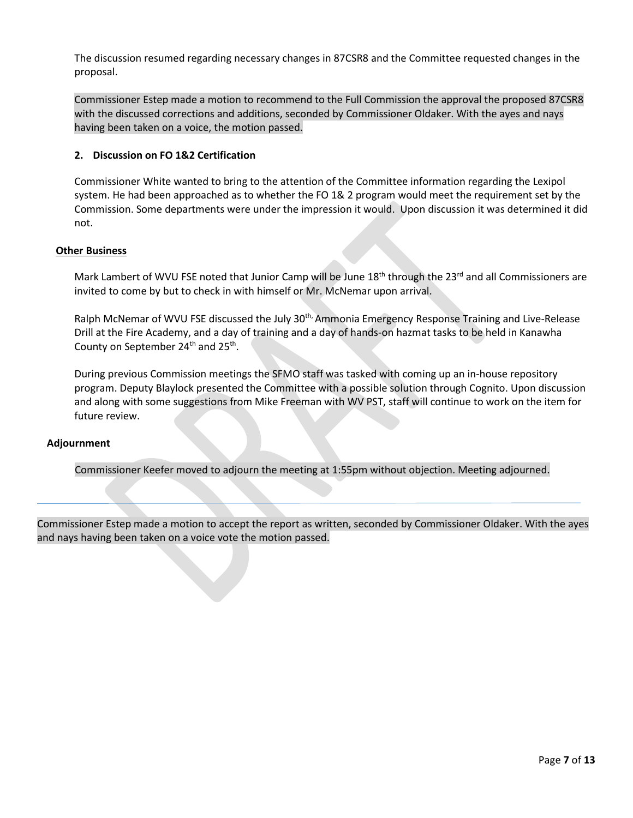The discussion resumed regarding necessary changes in 87CSR8 and the Committee requested changes in the proposal.

Commissioner Estep made a motion to recommend to the Full Commission the approval the proposed 87CSR8 with the discussed corrections and additions, seconded by Commissioner Oldaker. With the ayes and nays having been taken on a voice, the motion passed.

## **2. Discussion on FO 1&2 Certification**

Commissioner White wanted to bring to the attention of the Committee information regarding the Lexipol system. He had been approached as to whether the FO 1& 2 program would meet the requirement set by the Commission. Some departments were under the impression it would. Upon discussion it was determined it did not.

#### **Other Business**

Mark Lambert of WVU FSE noted that Junior Camp will be June  $18<sup>th</sup>$  through the 23<sup>rd</sup> and all Commissioners are invited to come by but to check in with himself or Mr. McNemar upon arrival.

Ralph McNemar of WVU FSE discussed the July 30<sup>th,</sup> Ammonia Emergency Response Training and Live-Release Drill at the Fire Academy, and a day of training and a day of hands-on hazmat tasks to be held in Kanawha County on September  $24<sup>th</sup>$  and  $25<sup>th</sup>$ .

During previous Commission meetings the SFMO staff was tasked with coming up an in-house repository program. Deputy Blaylock presented the Committee with a possible solution through Cognito. Upon discussion and along with some suggestions from Mike Freeman with WV PST, staff will continue to work on the item for future review.

#### **Adjournment**

Commissioner Keefer moved to adjourn the meeting at 1:55pm without objection. Meeting adjourned.

Commissioner Estep made a motion to accept the report as written, seconded by Commissioner Oldaker. With the ayes and nays having been taken on a voice vote the motion passed.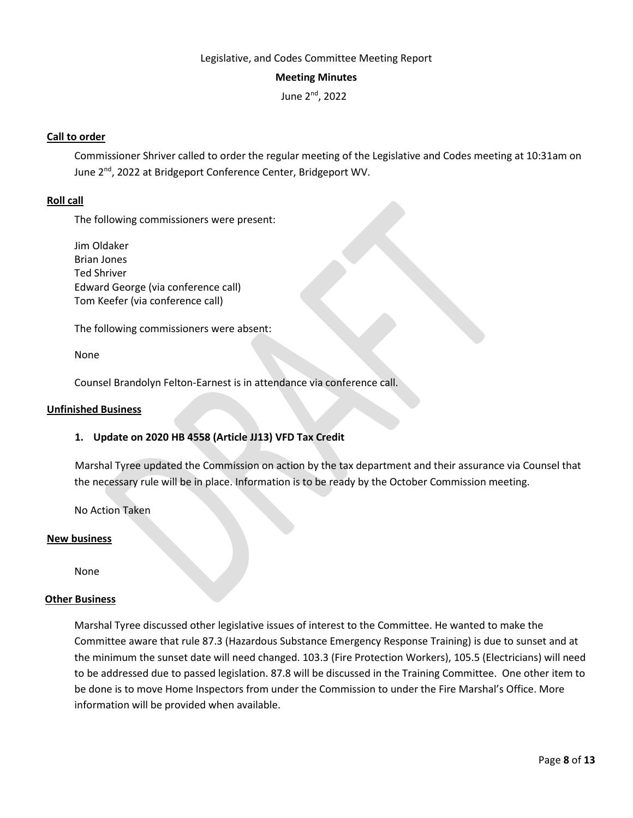### Legislative, and Codes Committee Meeting Report

### **Meeting Minutes**

June 2nd, 2022

## **Call to order**

Commissioner Shriver called to order the regular meeting of the Legislative and Codes meeting at 10:31am on June 2<sup>nd</sup>, 2022 at Bridgeport Conference Center, Bridgeport WV.

### **Roll call**

The following commissioners were present:

Jim Oldaker Brian Jones Ted Shriver Edward George (via conference call) Tom Keefer (via conference call)

The following commissioners were absent:

None

Counsel Brandolyn Felton-Earnest is in attendance via conference call.

#### **Unfinished Business**

### **1. Update on 2020 HB 4558 (Article JJ13) VFD Tax Credit**

Marshal Tyree updated the Commission on action by the tax department and their assurance via Counsel that the necessary rule will be in place. Information is to be ready by the October Commission meeting.

No Action Taken

#### **New business**

None

#### **Other Business**

Marshal Tyree discussed other legislative issues of interest to the Committee. He wanted to make the Committee aware that rule 87.3 (Hazardous Substance Emergency Response Training) is due to sunset and at the minimum the sunset date will need changed. 103.3 (Fire Protection Workers), 105.5 (Electricians) will need to be addressed due to passed legislation. 87.8 will be discussed in the Training Committee. One other item to be done is to move Home Inspectors from under the Commission to under the Fire Marshal's Office. More information will be provided when available.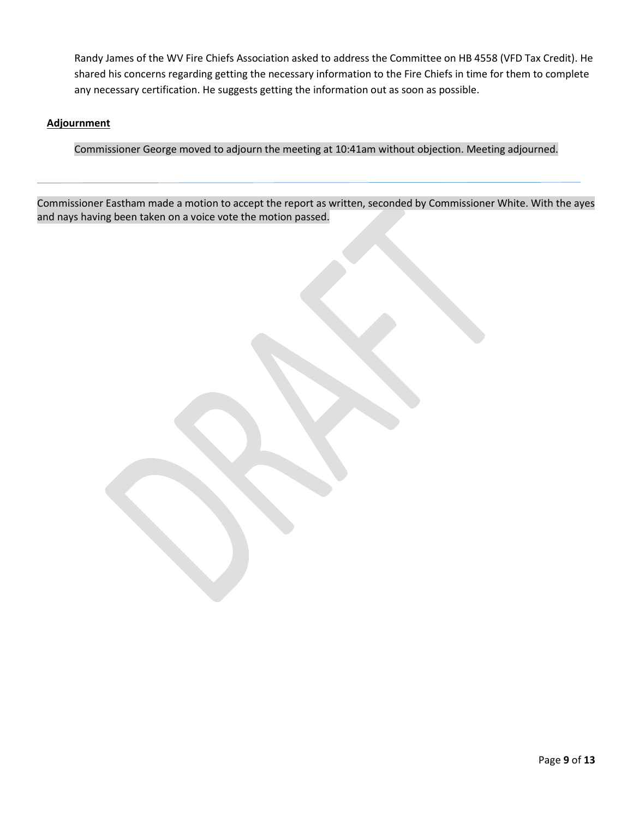Randy James of the WV Fire Chiefs Association asked to address the Committee on HB 4558 (VFD Tax Credit). He shared his concerns regarding getting the necessary information to the Fire Chiefs in time for them to complete any necessary certification. He suggests getting the information out as soon as possible.

## **Adjournment**

Commissioner George moved to adjourn the meeting at 10:41am without objection. Meeting adjourned.

Commissioner Eastham made a motion to accept the report as written, seconded by Commissioner White. With the ayes and nays having been taken on a voice vote the motion passed.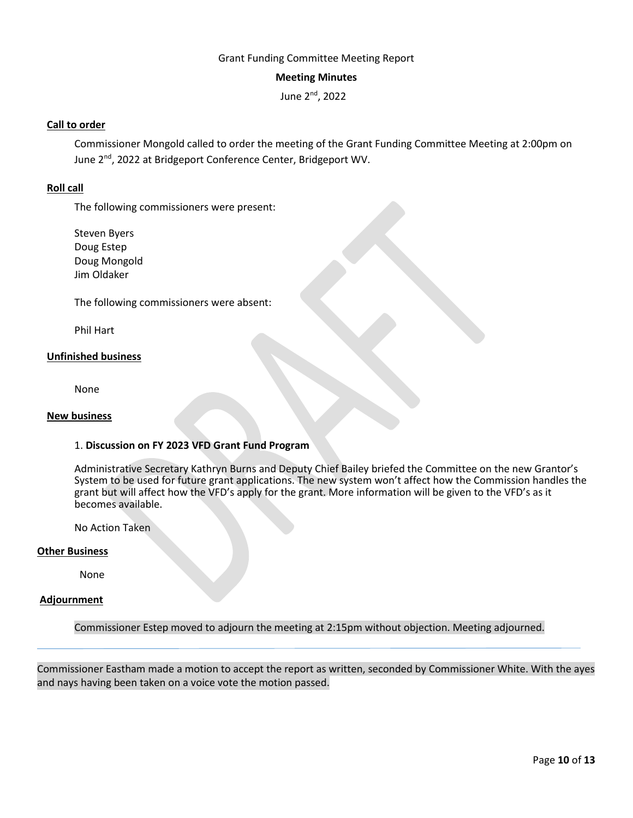### Grant Funding Committee Meeting Report

### **Meeting Minutes**

June 2nd, 2022

## **Call to order**

Commissioner Mongold called to order the meeting of the Grant Funding Committee Meeting at 2:00pm on June 2<sup>nd</sup>, 2022 at Bridgeport Conference Center, Bridgeport WV.

## **Roll call**

The following commissioners were present:

Steven Byers Doug Estep Doug Mongold Jim Oldaker

The following commissioners were absent:

Phil Hart

### **Unfinished business**

None

#### **New business**

### 1. **Discussion on FY 2023 VFD Grant Fund Program**

Administrative Secretary Kathryn Burns and Deputy Chief Bailey briefed the Committee on the new Grantor's System to be used for future grant applications. The new system won't affect how the Commission handles the grant but will affect how the VFD's apply for the grant. More information will be given to the VFD's as it becomes available.

No Action Taken

#### **Other Business**

None

#### **Adjournment**

Commissioner Estep moved to adjourn the meeting at 2:15pm without objection. Meeting adjourned.

Commissioner Eastham made a motion to accept the report as written, seconded by Commissioner White. With the ayes and nays having been taken on a voice vote the motion passed.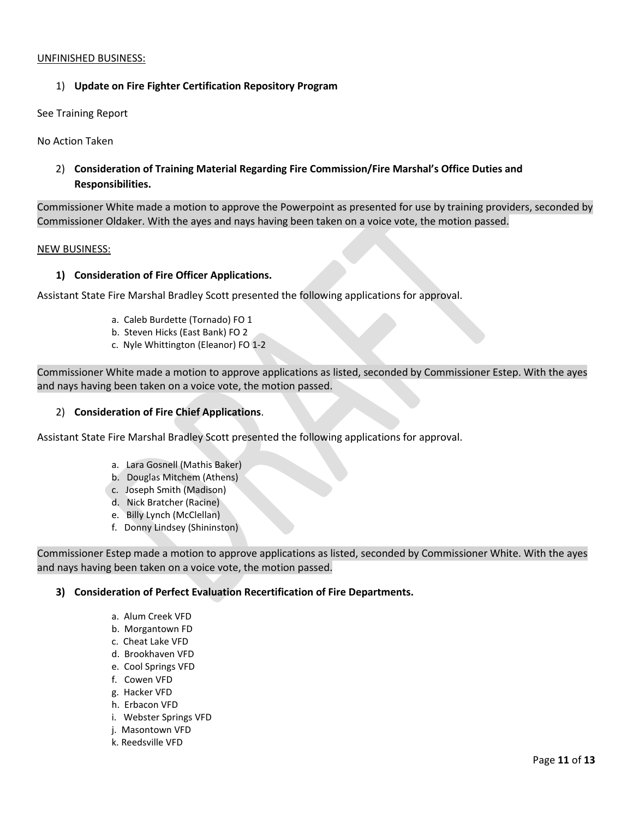### UNFINISHED BUSINESS:

## 1) **Update on Fire Fighter Certification Repository Program**

#### See Training Report

No Action Taken

2) **Consideration of Training Material Regarding Fire Commission/Fire Marshal's Office Duties and Responsibilities.** 

Commissioner White made a motion to approve the Powerpoint as presented for use by training providers, seconded by Commissioner Oldaker. With the ayes and nays having been taken on a voice vote, the motion passed.

#### NEW BUSINESS:

### **1) Consideration of Fire Officer Applications.**

Assistant State Fire Marshal Bradley Scott presented the following applications for approval.

- a. Caleb Burdette (Tornado) FO 1
- b. Steven Hicks (East Bank) FO 2
- c. Nyle Whittington (Eleanor) FO 1-2

Commissioner White made a motion to approve applications as listed, seconded by Commissioner Estep. With the ayes and nays having been taken on a voice vote, the motion passed.

### 2) **Consideration of Fire Chief Applications**.

Assistant State Fire Marshal Bradley Scott presented the following applications for approval.

- a. Lara Gosnell (Mathis Baker)
- b. Douglas Mitchem (Athens)
- c. Joseph Smith (Madison)
- d. Nick Bratcher (Racine)
- e. Billy Lynch (McClellan)
- f. Donny Lindsey (Shininston)

Commissioner Estep made a motion to approve applications as listed, seconded by Commissioner White. With the ayes and nays having been taken on a voice vote, the motion passed.

#### **3) Consideration of Perfect Evaluation Recertification of Fire Departments.**

- a. Alum Creek VFD
- b. Morgantown FD
- c. Cheat Lake VFD
- d. Brookhaven VFD
- e. Cool Springs VFD
- f. Cowen VFD
- g. Hacker VFD
- h. Erbacon VFD
- i. Webster Springs VFD
- j. Masontown VFD
- k. Reedsville VFD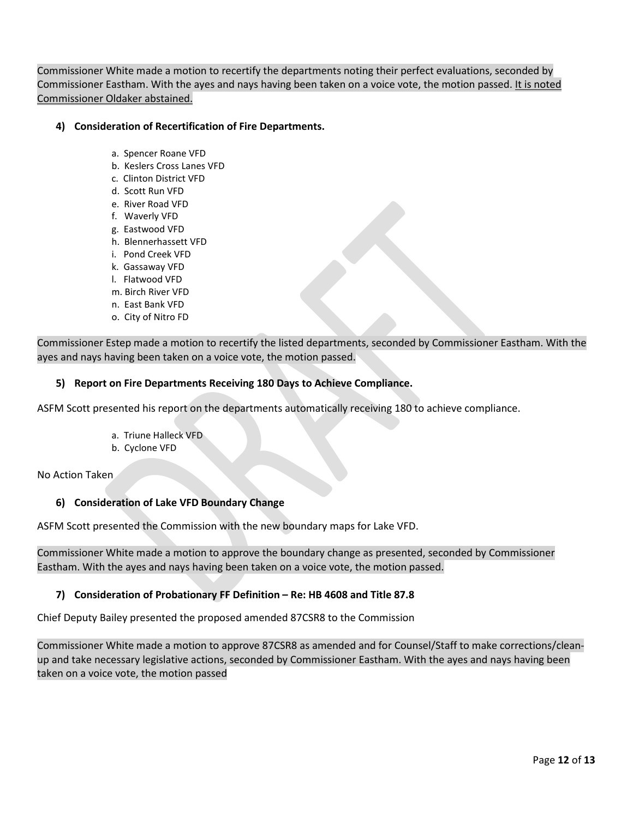Commissioner White made a motion to recertify the departments noting their perfect evaluations, seconded by Commissioner Eastham. With the ayes and nays having been taken on a voice vote, the motion passed. It is noted Commissioner Oldaker abstained.

## **4) Consideration of Recertification of Fire Departments.**

- a. Spencer Roane VFD
- b. Keslers Cross Lanes VFD
- c. Clinton District VFD
- d. Scott Run VFD
- e. River Road VFD
- f. Waverly VFD
- g. Eastwood VFD
- h. Blennerhassett VFD
- i. Pond Creek VFD
- k. Gassaway VFD
- l. Flatwood VFD
- m. Birch River VFD
- n. East Bank VFD
- o. City of Nitro FD

Commissioner Estep made a motion to recertify the listed departments, seconded by Commissioner Eastham. With the ayes and nays having been taken on a voice vote, the motion passed.

### **5) Report on Fire Departments Receiving 180 Days to Achieve Compliance.**

ASFM Scott presented his report on the departments automatically receiving 180 to achieve compliance.

- a. Triune Halleck VFD
- b. Cyclone VFD

No Action Taken

## **6) Consideration of Lake VFD Boundary Change**

ASFM Scott presented the Commission with the new boundary maps for Lake VFD.

Commissioner White made a motion to approve the boundary change as presented, seconded by Commissioner Eastham. With the ayes and nays having been taken on a voice vote, the motion passed.

## **7) Consideration of Probationary FF Definition – Re: HB 4608 and Title 87.8**

Chief Deputy Bailey presented the proposed amended 87CSR8 to the Commission

Commissioner White made a motion to approve 87CSR8 as amended and for Counsel/Staff to make corrections/cleanup and take necessary legislative actions, seconded by Commissioner Eastham. With the ayes and nays having been taken on a voice vote, the motion passed